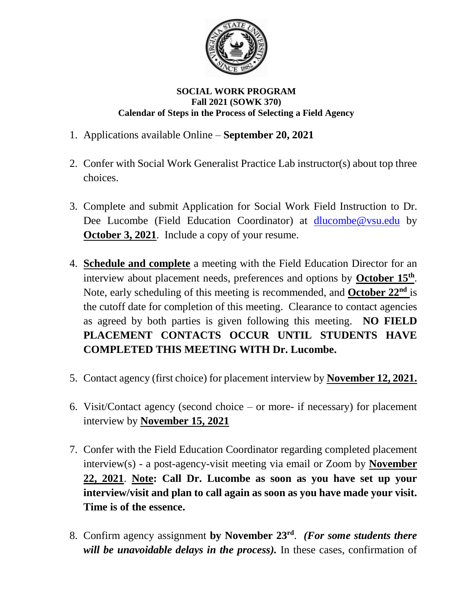

## **SOCIAL WORK PROGRAM Fall 2021 (SOWK 370) Calendar of Steps in the Process of Selecting a Field Agency**

- 1. Applications available Online **September 20, 2021**
- 2. Confer with Social Work Generalist Practice Lab instructor(s) about top three choices.
- 3. Complete and submit Application for Social Work Field Instruction to Dr. Dee Lucombe (Field Education Coordinator) at [dlucombe@vsu.edu](mailto:dlucombe@vsu.edu) by **October 3, 2021**. Include a copy of your resume.
- 4. **Schedule and complete** a meeting with the Field Education Director for an interview about placement needs, preferences and options by **October 15<sup>th</sup>**. Note, early scheduling of this meeting is recommended, and **October 22<sup>nd</sup>** is the cutoff date for completion of this meeting. Clearance to contact agencies as agreed by both parties is given following this meeting. **NO FIELD PLACEMENT CONTACTS OCCUR UNTIL STUDENTS HAVE COMPLETED THIS MEETING WITH Dr. Lucombe.**
- 5. Contact agency (first choice) for placement interview by **November 12, 2021.**
- 6. Visit/Contact agency (second choice or more- if necessary) for placement interview by **November 15, 2021**
- 7. Confer with the Field Education Coordinator regarding completed placement interview(s) - a post-agency-visit meeting via email or Zoom by **November 22, 2021**. **Note: Call Dr. Lucombe as soon as you have set up your interview/visit and plan to call again as soon as you have made your visit. Time is of the essence.**
- 8. Confirm agency assignment **by November 23 rd** . *(For some students there will be unavoidable delays in the process).* In these cases, confirmation of